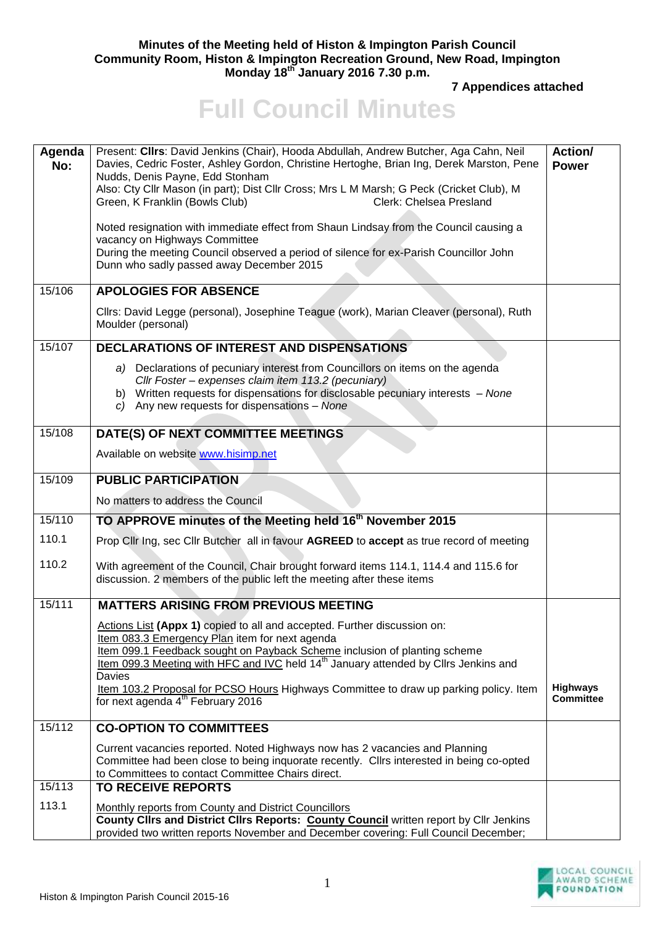## **Minutes of the Meeting held of Histon & Impington Parish Council Community Room, Histon & Impington Recreation Ground, New Road, Impington Monday 18th January 2016 7.30 p.m.**

**7 Appendices attached** 

## **Full Council Minutes**

| Agenda<br>No: | Present: Cllrs: David Jenkins (Chair), Hooda Abdullah, Andrew Butcher, Aga Cahn, Neil<br>Davies, Cedric Foster, Ashley Gordon, Christine Hertoghe, Brian Ing, Derek Marston, Pene<br>Nudds, Denis Payne, Edd Stonham<br>Also: Cty Cllr Mason (in part); Dist Cllr Cross; Mrs L M Marsh; G Peck (Cricket Club), M<br>Green, K Franklin (Bowls Club)<br>Clerk: Chelsea Presland<br>Noted resignation with immediate effect from Shaun Lindsay from the Council causing a<br>vacancy on Highways Committee<br>During the meeting Council observed a period of silence for ex-Parish Councillor John<br>Dunn who sadly passed away December 2015 | <b>Action/</b><br><b>Power</b>      |
|---------------|----------------------------------------------------------------------------------------------------------------------------------------------------------------------------------------------------------------------------------------------------------------------------------------------------------------------------------------------------------------------------------------------------------------------------------------------------------------------------------------------------------------------------------------------------------------------------------------------------------------------------------------------|-------------------------------------|
| 15/106        | <b>APOLOGIES FOR ABSENCE</b>                                                                                                                                                                                                                                                                                                                                                                                                                                                                                                                                                                                                                 |                                     |
|               | Cllrs: David Legge (personal), Josephine Teague (work), Marian Cleaver (personal), Ruth<br>Moulder (personal)                                                                                                                                                                                                                                                                                                                                                                                                                                                                                                                                |                                     |
| 15/107        | DECLARATIONS OF INTEREST AND DISPENSATIONS                                                                                                                                                                                                                                                                                                                                                                                                                                                                                                                                                                                                   |                                     |
|               | a) Declarations of pecuniary interest from Councillors on items on the agenda<br>Cllr Foster - expenses claim item 113.2 (pecuniary)<br>b) Written requests for dispensations for disclosable pecuniary interests - None<br>c) Any new requests for dispensations - None                                                                                                                                                                                                                                                                                                                                                                     |                                     |
| 15/108        | DATE(S) OF NEXT COMMITTEE MEETINGS                                                                                                                                                                                                                                                                                                                                                                                                                                                                                                                                                                                                           |                                     |
|               | Available on website www.hisimp.net                                                                                                                                                                                                                                                                                                                                                                                                                                                                                                                                                                                                          |                                     |
| 15/109        | <b>PUBLIC PARTICIPATION</b>                                                                                                                                                                                                                                                                                                                                                                                                                                                                                                                                                                                                                  |                                     |
|               | No matters to address the Council                                                                                                                                                                                                                                                                                                                                                                                                                                                                                                                                                                                                            |                                     |
| 15/110        | TO APPROVE minutes of the Meeting held 16 <sup>th</sup> November 2015                                                                                                                                                                                                                                                                                                                                                                                                                                                                                                                                                                        |                                     |
| 110.1         | Prop Cllr Ing, sec Cllr Butcher all in favour AGREED to accept as true record of meeting                                                                                                                                                                                                                                                                                                                                                                                                                                                                                                                                                     |                                     |
| 110.2         | With agreement of the Council, Chair brought forward items 114.1, 114.4 and 115.6 for<br>discussion. 2 members of the public left the meeting after these items                                                                                                                                                                                                                                                                                                                                                                                                                                                                              |                                     |
| 15/111        | <b>MATTERS ARISING FROM PREVIOUS MEETING</b>                                                                                                                                                                                                                                                                                                                                                                                                                                                                                                                                                                                                 |                                     |
|               | Actions List (Appx 1) copied to all and accepted. Further discussion on:<br>Item 083.3 Emergency Plan item for next agenda<br>Item 099.1 Feedback sought on Payback Scheme inclusion of planting scheme<br>Item 099.3 Meeting with HFC and IVC held 14 <sup>th</sup> January attended by Cllrs Jenkins and<br>Davies<br>Item 103.2 Proposal for PCSO Hours Highways Committee to draw up parking policy. Item<br>for next agenda 4 <sup>th</sup> February 2016                                                                                                                                                                               | <b>Highways</b><br><b>Committee</b> |
| 15/112        | <b>CO-OPTION TO COMMITTEES</b>                                                                                                                                                                                                                                                                                                                                                                                                                                                                                                                                                                                                               |                                     |
| 15/113        | Current vacancies reported. Noted Highways now has 2 vacancies and Planning<br>Committee had been close to being inquorate recently. Cllrs interested in being co-opted<br>to Committees to contact Committee Chairs direct.<br><b>TO RECEIVE REPORTS</b>                                                                                                                                                                                                                                                                                                                                                                                    |                                     |
| 113.1         |                                                                                                                                                                                                                                                                                                                                                                                                                                                                                                                                                                                                                                              |                                     |
|               | Monthly reports from County and District Councillors<br>County Clirs and District Clirs Reports: <b>County Council</b> written report by Clir Jenkins<br>provided two written reports November and December covering: Full Council December;                                                                                                                                                                                                                                                                                                                                                                                                 |                                     |

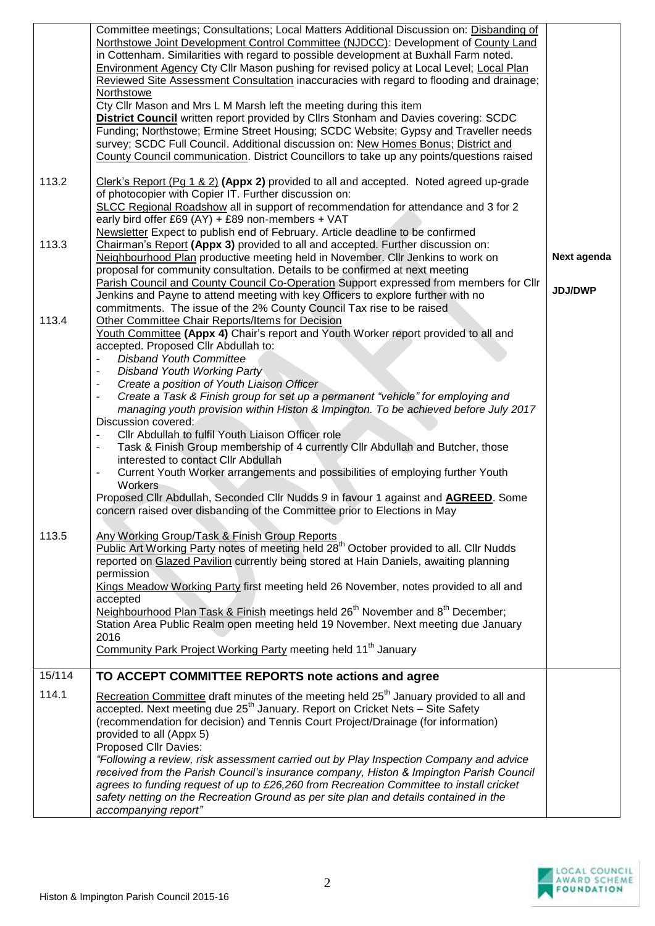|        | Committee meetings; Consultations; Local Matters Additional Discussion on: Disbanding of<br>Northstowe Joint Development Control Committee (NJDCC): Development of County Land<br>in Cottenham. Similarities with regard to possible development at Buxhall Farm noted.<br><b>Environment Agency Cty Cllr Mason pushing for revised policy at Local Level; Local Plan</b><br>Reviewed Site Assessment Consultation inaccuracies with regard to flooding and drainage;<br>Northstowe<br>Cty Cllr Mason and Mrs L M Marsh left the meeting during this item |                |
|--------|-----------------------------------------------------------------------------------------------------------------------------------------------------------------------------------------------------------------------------------------------------------------------------------------------------------------------------------------------------------------------------------------------------------------------------------------------------------------------------------------------------------------------------------------------------------|----------------|
|        | <b>District Council</b> written report provided by Cllrs Stonham and Davies covering: SCDC<br>Funding; Northstowe; Ermine Street Housing; SCDC Website; Gypsy and Traveller needs<br>survey; SCDC Full Council. Additional discussion on: New Homes Bonus; District and<br>County Council communication. District Councillors to take up any points/questions raised                                                                                                                                                                                      |                |
| 113.2  | Clerk's Report (Pg 1 & 2) (Appx 2) provided to all and accepted. Noted agreed up-grade<br>of photocopier with Copier IT. Further discussion on:<br>SLCC Regional Roadshow all in support of recommendation for attendance and 3 for 2<br>early bird offer £69 (AY) + £89 non-members + VAT                                                                                                                                                                                                                                                                |                |
| 113.3  | Newsletter Expect to publish end of February. Article deadline to be confirmed<br>Chairman's Report (Appx 3) provided to all and accepted. Further discussion on:<br>Neighbourhood Plan productive meeting held in November. Cllr Jenkins to work on<br>proposal for community consultation. Details to be confirmed at next meeting                                                                                                                                                                                                                      | Next agenda    |
|        | Parish Council and County Council Co-Operation Support expressed from members for Cllr<br>Jenkins and Payne to attend meeting with key Officers to explore further with no<br>commitments. The issue of the 2% County Council Tax rise to be raised                                                                                                                                                                                                                                                                                                       | <b>JDJ/DWP</b> |
| 113.4  | Other Committee Chair Reports/Items for Decision<br>Youth Committee (Appx 4) Chair's report and Youth Worker report provided to all and<br>accepted. Proposed Cllr Abdullah to:<br><b>Disband Youth Committee</b>                                                                                                                                                                                                                                                                                                                                         |                |
|        | Disband Youth Working Party<br>$\blacksquare$                                                                                                                                                                                                                                                                                                                                                                                                                                                                                                             |                |
|        | Create a position of Youth Liaison Officer<br>Create a Task & Finish group for set up a permanent "vehicle" for employing and                                                                                                                                                                                                                                                                                                                                                                                                                             |                |
|        | managing youth provision within Histon & Impington. To be achieved before July 2017                                                                                                                                                                                                                                                                                                                                                                                                                                                                       |                |
|        | Discussion covered:<br>Cllr Abdullah to fulfil Youth Liaison Officer role                                                                                                                                                                                                                                                                                                                                                                                                                                                                                 |                |
|        | Task & Finish Group membership of 4 currently Cllr Abdullah and Butcher, those<br>$\overline{\phantom{a}}$<br>interested to contact Cllr Abdullah                                                                                                                                                                                                                                                                                                                                                                                                         |                |
|        | Current Youth Worker arrangements and possibilities of employing further Youth<br>$\blacksquare$<br>Workers                                                                                                                                                                                                                                                                                                                                                                                                                                               |                |
|        | Proposed Cllr Abdullah, Seconded Cllr Nudds 9 in favour 1 against and <b>AGREED</b> . Some<br>concern raised over disbanding of the Committee prior to Elections in May                                                                                                                                                                                                                                                                                                                                                                                   |                |
| 113.5  | Any Working Group/Task & Finish Group Reports<br>Public Art Working Party notes of meeting held 28 <sup>th</sup> October provided to all. Cllr Nudds<br>reported on Glazed Pavilion currently being stored at Hain Daniels, awaiting planning                                                                                                                                                                                                                                                                                                             |                |
|        | permission<br>Kings Meadow Working Party first meeting held 26 November, notes provided to all and<br>accepted                                                                                                                                                                                                                                                                                                                                                                                                                                            |                |
|        | Neighbourhood Plan Task & Finish meetings held 26 <sup>th</sup> November and 8 <sup>th</sup> December;<br>Station Area Public Realm open meeting held 19 November. Next meeting due January<br>2016                                                                                                                                                                                                                                                                                                                                                       |                |
|        | Community Park Project Working Party meeting held 11 <sup>th</sup> January                                                                                                                                                                                                                                                                                                                                                                                                                                                                                |                |
| 15/114 | TO ACCEPT COMMITTEE REPORTS note actions and agree                                                                                                                                                                                                                                                                                                                                                                                                                                                                                                        |                |
| 114.1  | Recreation Committee draft minutes of the meeting held 25 <sup>th</sup> January provided to all and<br>accepted. Next meeting due 25 <sup>th</sup> January. Report on Cricket Nets - Site Safety<br>(recommendation for decision) and Tennis Court Project/Drainage (for information)<br>provided to all (Appx 5)<br>Proposed Cllr Davies:                                                                                                                                                                                                                |                |
|        | "Following a review, risk assessment carried out by Play Inspection Company and advice<br>received from the Parish Council's insurance company, Histon & Impington Parish Council<br>agrees to funding request of up to £26,260 from Recreation Committee to install cricket<br>safety netting on the Recreation Ground as per site plan and details contained in the<br>accompanying report"                                                                                                                                                             |                |

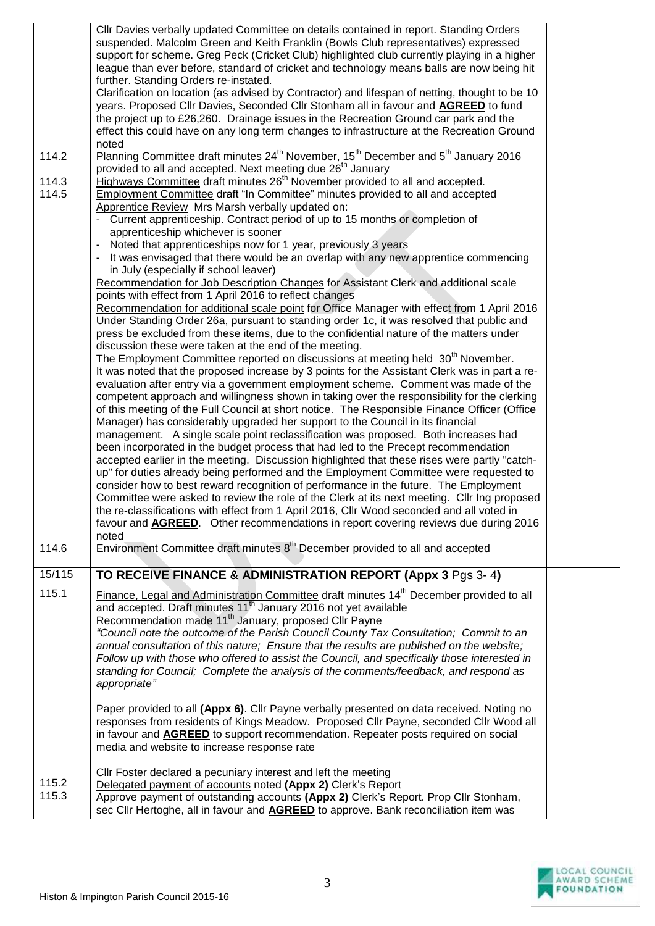| 114.2<br>114.3<br>114.5 | CIIr Davies verbally updated Committee on details contained in report. Standing Orders<br>suspended. Malcolm Green and Keith Franklin (Bowls Club representatives) expressed<br>support for scheme. Greg Peck (Cricket Club) highlighted club currently playing in a higher<br>league than ever before, standard of cricket and technology means balls are now being hit<br>further. Standing Orders re-instated.<br>Clarification on location (as advised by Contractor) and lifespan of netting, thought to be 10<br>years. Proposed Cllr Davies, Seconded Cllr Stonham all in favour and <b>AGREED</b> to fund<br>the project up to £26,260. Drainage issues in the Recreation Ground car park and the<br>effect this could have on any long term changes to infrastructure at the Recreation Ground<br>noted<br>Planning Committee draft minutes 24 <sup>th</sup> November, 15 <sup>th</sup> December and 5 <sup>th</sup> January 2016<br>provided to all and accepted. Next meeting due 26 <sup>th</sup> January<br>Highways Committee draft minutes 26 <sup>th</sup> November provided to all and accepted.<br><b>Employment Committee draft "In Committee" minutes provided to all and accepted</b><br>Apprentice Review Mrs Marsh verbally updated on:<br>Current apprenticeship. Contract period of up to 15 months or completion of<br>apprenticeship whichever is sooner<br>Noted that apprenticeships now for 1 year, previously 3 years<br>It was envisaged that there would be an overlap with any new apprentice commencing |  |
|-------------------------|--------------------------------------------------------------------------------------------------------------------------------------------------------------------------------------------------------------------------------------------------------------------------------------------------------------------------------------------------------------------------------------------------------------------------------------------------------------------------------------------------------------------------------------------------------------------------------------------------------------------------------------------------------------------------------------------------------------------------------------------------------------------------------------------------------------------------------------------------------------------------------------------------------------------------------------------------------------------------------------------------------------------------------------------------------------------------------------------------------------------------------------------------------------------------------------------------------------------------------------------------------------------------------------------------------------------------------------------------------------------------------------------------------------------------------------------------------------------------------------------------------------------------------------------|--|
|                         | in July (especially if school leaver)                                                                                                                                                                                                                                                                                                                                                                                                                                                                                                                                                                                                                                                                                                                                                                                                                                                                                                                                                                                                                                                                                                                                                                                                                                                                                                                                                                                                                                                                                                      |  |
|                         | Recommendation for Job Description Changes for Assistant Clerk and additional scale                                                                                                                                                                                                                                                                                                                                                                                                                                                                                                                                                                                                                                                                                                                                                                                                                                                                                                                                                                                                                                                                                                                                                                                                                                                                                                                                                                                                                                                        |  |
|                         | points with effect from 1 April 2016 to reflect changes                                                                                                                                                                                                                                                                                                                                                                                                                                                                                                                                                                                                                                                                                                                                                                                                                                                                                                                                                                                                                                                                                                                                                                                                                                                                                                                                                                                                                                                                                    |  |
|                         | Recommendation for additional scale point for Office Manager with effect from 1 April 2016                                                                                                                                                                                                                                                                                                                                                                                                                                                                                                                                                                                                                                                                                                                                                                                                                                                                                                                                                                                                                                                                                                                                                                                                                                                                                                                                                                                                                                                 |  |
|                         | Under Standing Order 26a, pursuant to standing order 1c, it was resolved that public and                                                                                                                                                                                                                                                                                                                                                                                                                                                                                                                                                                                                                                                                                                                                                                                                                                                                                                                                                                                                                                                                                                                                                                                                                                                                                                                                                                                                                                                   |  |
|                         | press be excluded from these items, due to the confidential nature of the matters under<br>discussion these were taken at the end of the meeting.                                                                                                                                                                                                                                                                                                                                                                                                                                                                                                                                                                                                                                                                                                                                                                                                                                                                                                                                                                                                                                                                                                                                                                                                                                                                                                                                                                                          |  |
|                         | The Employment Committee reported on discussions at meeting held 30 <sup>th</sup> November.                                                                                                                                                                                                                                                                                                                                                                                                                                                                                                                                                                                                                                                                                                                                                                                                                                                                                                                                                                                                                                                                                                                                                                                                                                                                                                                                                                                                                                                |  |
|                         | It was noted that the proposed increase by 3 points for the Assistant Clerk was in part a re-                                                                                                                                                                                                                                                                                                                                                                                                                                                                                                                                                                                                                                                                                                                                                                                                                                                                                                                                                                                                                                                                                                                                                                                                                                                                                                                                                                                                                                              |  |
|                         | evaluation after entry via a government employment scheme. Comment was made of the                                                                                                                                                                                                                                                                                                                                                                                                                                                                                                                                                                                                                                                                                                                                                                                                                                                                                                                                                                                                                                                                                                                                                                                                                                                                                                                                                                                                                                                         |  |
|                         | competent approach and willingness shown in taking over the responsibility for the clerking                                                                                                                                                                                                                                                                                                                                                                                                                                                                                                                                                                                                                                                                                                                                                                                                                                                                                                                                                                                                                                                                                                                                                                                                                                                                                                                                                                                                                                                |  |
|                         | of this meeting of the Full Council at short notice. The Responsible Finance Officer (Office<br>Manager) has considerably upgraded her support to the Council in its financial                                                                                                                                                                                                                                                                                                                                                                                                                                                                                                                                                                                                                                                                                                                                                                                                                                                                                                                                                                                                                                                                                                                                                                                                                                                                                                                                                             |  |
|                         | management. A single scale point reclassification was proposed. Both increases had                                                                                                                                                                                                                                                                                                                                                                                                                                                                                                                                                                                                                                                                                                                                                                                                                                                                                                                                                                                                                                                                                                                                                                                                                                                                                                                                                                                                                                                         |  |
|                         | been incorporated in the budget process that had led to the Precept recommendation                                                                                                                                                                                                                                                                                                                                                                                                                                                                                                                                                                                                                                                                                                                                                                                                                                                                                                                                                                                                                                                                                                                                                                                                                                                                                                                                                                                                                                                         |  |
|                         | accepted earlier in the meeting. Discussion highlighted that these rises were partly "catch-                                                                                                                                                                                                                                                                                                                                                                                                                                                                                                                                                                                                                                                                                                                                                                                                                                                                                                                                                                                                                                                                                                                                                                                                                                                                                                                                                                                                                                               |  |
|                         | up" for duties already being performed and the Employment Committee were requested to                                                                                                                                                                                                                                                                                                                                                                                                                                                                                                                                                                                                                                                                                                                                                                                                                                                                                                                                                                                                                                                                                                                                                                                                                                                                                                                                                                                                                                                      |  |
|                         | consider how to best reward recognition of performance in the future. The Employment<br>Committee were asked to review the role of the Clerk at its next meeting. Cllr Ing proposed                                                                                                                                                                                                                                                                                                                                                                                                                                                                                                                                                                                                                                                                                                                                                                                                                                                                                                                                                                                                                                                                                                                                                                                                                                                                                                                                                        |  |
|                         | the re-classifications with effect from 1 April 2016. Cllr Wood seconded and all voted in                                                                                                                                                                                                                                                                                                                                                                                                                                                                                                                                                                                                                                                                                                                                                                                                                                                                                                                                                                                                                                                                                                                                                                                                                                                                                                                                                                                                                                                  |  |
|                         | favour and <b>AGREED</b> . Other recommendations in report covering reviews due during 2016                                                                                                                                                                                                                                                                                                                                                                                                                                                                                                                                                                                                                                                                                                                                                                                                                                                                                                                                                                                                                                                                                                                                                                                                                                                                                                                                                                                                                                                |  |
|                         | noted                                                                                                                                                                                                                                                                                                                                                                                                                                                                                                                                                                                                                                                                                                                                                                                                                                                                                                                                                                                                                                                                                                                                                                                                                                                                                                                                                                                                                                                                                                                                      |  |
| 114.6                   | Environment Committee draft minutes 8 <sup>th</sup> December provided to all and accepted                                                                                                                                                                                                                                                                                                                                                                                                                                                                                                                                                                                                                                                                                                                                                                                                                                                                                                                                                                                                                                                                                                                                                                                                                                                                                                                                                                                                                                                  |  |
| 15/115                  | TO RECEIVE FINANCE & ADMINISTRATION REPORT (Appx 3 Pgs 3-4)                                                                                                                                                                                                                                                                                                                                                                                                                                                                                                                                                                                                                                                                                                                                                                                                                                                                                                                                                                                                                                                                                                                                                                                                                                                                                                                                                                                                                                                                                |  |
| 115.1                   | Finance, Legal and Administration Committee draft minutes 14 <sup>th</sup> December provided to all                                                                                                                                                                                                                                                                                                                                                                                                                                                                                                                                                                                                                                                                                                                                                                                                                                                                                                                                                                                                                                                                                                                                                                                                                                                                                                                                                                                                                                        |  |
|                         | and accepted. Draft minutes 11 <sup>th</sup> January 2016 not yet available                                                                                                                                                                                                                                                                                                                                                                                                                                                                                                                                                                                                                                                                                                                                                                                                                                                                                                                                                                                                                                                                                                                                                                                                                                                                                                                                                                                                                                                                |  |
|                         | Recommendation made 11 <sup>th</sup> January, proposed Cllr Payne                                                                                                                                                                                                                                                                                                                                                                                                                                                                                                                                                                                                                                                                                                                                                                                                                                                                                                                                                                                                                                                                                                                                                                                                                                                                                                                                                                                                                                                                          |  |
|                         | "Council note the outcome of the Parish Council County Tax Consultation; Commit to an<br>annual consultation of this nature; Ensure that the results are published on the website;                                                                                                                                                                                                                                                                                                                                                                                                                                                                                                                                                                                                                                                                                                                                                                                                                                                                                                                                                                                                                                                                                                                                                                                                                                                                                                                                                         |  |
|                         | Follow up with those who offered to assist the Council, and specifically those interested in                                                                                                                                                                                                                                                                                                                                                                                                                                                                                                                                                                                                                                                                                                                                                                                                                                                                                                                                                                                                                                                                                                                                                                                                                                                                                                                                                                                                                                               |  |
|                         | standing for Council; Complete the analysis of the comments/feedback, and respond as                                                                                                                                                                                                                                                                                                                                                                                                                                                                                                                                                                                                                                                                                                                                                                                                                                                                                                                                                                                                                                                                                                                                                                                                                                                                                                                                                                                                                                                       |  |
|                         | appropriate"                                                                                                                                                                                                                                                                                                                                                                                                                                                                                                                                                                                                                                                                                                                                                                                                                                                                                                                                                                                                                                                                                                                                                                                                                                                                                                                                                                                                                                                                                                                               |  |
|                         |                                                                                                                                                                                                                                                                                                                                                                                                                                                                                                                                                                                                                                                                                                                                                                                                                                                                                                                                                                                                                                                                                                                                                                                                                                                                                                                                                                                                                                                                                                                                            |  |
|                         | Paper provided to all (Appx 6). Cllr Payne verbally presented on data received. Noting no                                                                                                                                                                                                                                                                                                                                                                                                                                                                                                                                                                                                                                                                                                                                                                                                                                                                                                                                                                                                                                                                                                                                                                                                                                                                                                                                                                                                                                                  |  |
|                         | responses from residents of Kings Meadow. Proposed Cllr Payne, seconded Cllr Wood all<br>in favour and <b>AGREED</b> to support recommendation. Repeater posts required on social                                                                                                                                                                                                                                                                                                                                                                                                                                                                                                                                                                                                                                                                                                                                                                                                                                                                                                                                                                                                                                                                                                                                                                                                                                                                                                                                                          |  |
|                         | media and website to increase response rate                                                                                                                                                                                                                                                                                                                                                                                                                                                                                                                                                                                                                                                                                                                                                                                                                                                                                                                                                                                                                                                                                                                                                                                                                                                                                                                                                                                                                                                                                                |  |
|                         |                                                                                                                                                                                                                                                                                                                                                                                                                                                                                                                                                                                                                                                                                                                                                                                                                                                                                                                                                                                                                                                                                                                                                                                                                                                                                                                                                                                                                                                                                                                                            |  |
|                         | CIIr Foster declared a pecuniary interest and left the meeting                                                                                                                                                                                                                                                                                                                                                                                                                                                                                                                                                                                                                                                                                                                                                                                                                                                                                                                                                                                                                                                                                                                                                                                                                                                                                                                                                                                                                                                                             |  |
| 115.2                   | Delegated payment of accounts noted (Appx 2) Clerk's Report                                                                                                                                                                                                                                                                                                                                                                                                                                                                                                                                                                                                                                                                                                                                                                                                                                                                                                                                                                                                                                                                                                                                                                                                                                                                                                                                                                                                                                                                                |  |
| 115.3                   | Approve payment of outstanding accounts (Appx 2) Clerk's Report. Prop Cllr Stonham,                                                                                                                                                                                                                                                                                                                                                                                                                                                                                                                                                                                                                                                                                                                                                                                                                                                                                                                                                                                                                                                                                                                                                                                                                                                                                                                                                                                                                                                        |  |
|                         | sec Cllr Hertoghe, all in favour and AGREED to approve. Bank reconciliation item was                                                                                                                                                                                                                                                                                                                                                                                                                                                                                                                                                                                                                                                                                                                                                                                                                                                                                                                                                                                                                                                                                                                                                                                                                                                                                                                                                                                                                                                       |  |